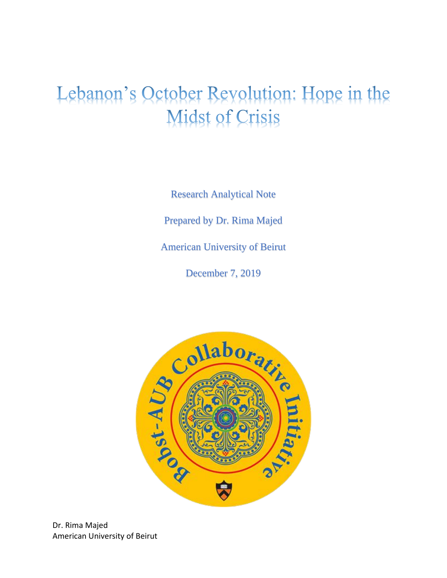## Lebanon's October Revolution: Hope in the **Midst of Crisis**

Research Analytical Note Prepared by Dr. Rima Majed American University of Beirut

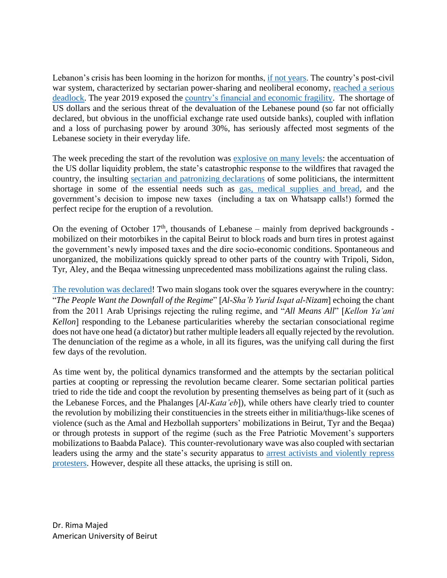Lebanon's crisis has been looming in the horizon for months, [if not years.](http://www.thinktriangle.net/wp-content/uploads/2019/11/Extend_Pretend_Lebanons_Financial_House_of_Cards_2019.pdf) The country's post-civil war system, characterized by sectarian power-sharing and neoliberal economy, reached a serious [deadlock.](http://beirut-today.com/2019/04/23/lebanon-budget-people/) The year 2019 exposed the [country's financial and economic fragility.](https://www.reuters.com/article/us-lebanon-economy-dollar-insight/show-me-the-money-dollar-hungry-businesses-squeezed-in-lebanon-idUSKBN1W42BR) The shortage of US dollars and the serious threat of the devaluation of the Lebanese pound (so far not officially declared, but obvious in the unofficial exchange rate used outside banks), coupled with inflation and a loss of purchasing power by around 30%, has seriously affected most segments of the Lebanese society in their everyday life.

The week preceding the start of the revolution was [explosive on many levels:](https://www.opendemocracy.net/en/north-africa-west-asia/lebanons-october-revolution-must-go-on/) the accentuation of the US dollar liquidity problem, the state's catastrophic response to the wildfires that ravaged the country, the insulting [sectarian and patronizing declarations](https://www.aljazeera.com/news/2019/10/judgment-day-lebanese-devastated-wildfires-191016170006745.html) of some politicians, the intermittent shortage in some of the essential needs such as [gas, medical supplies and bread,](https://aawsat.com/english/home/article/1932326/lebanon-besieged-bread-medicine-fuel-crises) and the government's decision to impose new taxes (including a tax on Whatsapp calls!) formed the perfect recipe for the eruption of a revolution.

On the evening of October  $17<sup>th</sup>$ , thousands of Lebanese – mainly from deprived backgrounds mobilized on their motorbikes in the capital Beirut to block roads and burn tires in protest against the government's newly imposed taxes and the dire socio-economic conditions. Spontaneous and unorganized, the mobilizations quickly spread to other parts of the country with Tripoli, Sidon, Tyr, Aley, and the Beqaa witnessing unprecedented mass mobilizations against the ruling class.

[The revolution was declared!](https://www.jadaliyya.com/Details/40218) Two main slogans took over the squares everywhere in the country: "The People Want the Downfall of the Regime" [Al-Sha'b Yurid Isqat al-Nizam] echoing the chant from the 2011 Arab Uprisings rejecting the ruling regime, and "*All Means All*" *Kellon Ya'ani Kellon* responding to the Lebanese particularities whereby the sectarian consociational regime does not have one head (a dictator) but rather multiple leaders all equally rejected by the revolution. The denunciation of the regime as a whole, in all its figures, was the unifying call during the first few days of the revolution.

As time went by, the political dynamics transformed and the attempts by the sectarian political parties at coopting or repressing the revolution became clearer. Some sectarian political parties tried to ride the tide and coopt the revolution by presenting themselves as being part of it (such as the Lebanese Forces, and the Phalanges *Al-Kata'eb*), while others have clearly tried to counter the revolution by mobilizing their constituencies in the streets either in militia/thugs-like scenes of violence (such as the Amal and Hezbollah supporters' mobilizations in Beirut, Tyr and the Beqaa) or through protests in support of the regime (such as the Free Patriotic Movement's supporters mobilizations to Baabda Palace). This counter-revolutionary wave was also coupled with sectarian leaders using the army and the state's security apparatus to [arrest activists and violently repress](https://www.amnesty.org/en/latest/news/2019/11/lebanon-protests-explained/)  [protesters.](https://www.amnesty.org/en/latest/news/2019/11/lebanon-protests-explained/) However, despite all these attacks, the uprising is still on.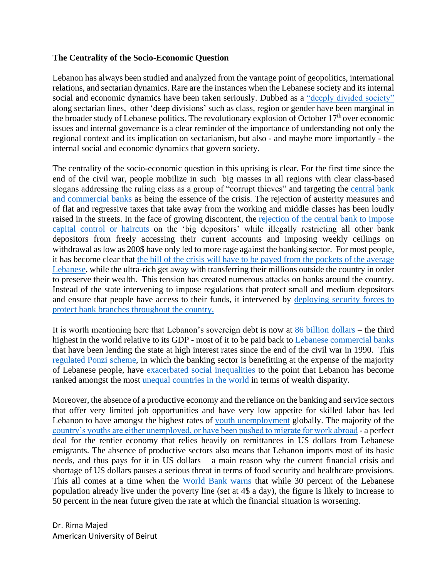## **The Centrality of the Socio-Economic Question**

Lebanon has always been studied and analyzed from the vantage point of geopolitics, international relations, and sectarian dynamics. Rare are the instances when the Lebanese society and its internal social and economic dynamics have been taken seriously. Dubbed as a ["deeply divided society"](https://www.lebanesestudies.com/portfolio-item/what-is-so-deep-about-deeply-divided-societies/) along sectarian lines, other 'deep divisions' such as class, region or gender have been marginal in the broader study of Lebanese politics. The revolutionary explosion of October  $17<sup>th</sup>$  over economic issues and internal governance is a clear reminder of the importance of understanding not only the regional context and its implication on sectarianism, but also - and maybe more importantly - the internal social and economic dynamics that govern society.

The centrality of the socio-economic question in this uprising is clear. For the first time since the end of the civil war, people mobilize in such big masses in all regions with clear class-based slogans addressing the ruling class as a group of "corrupt thieves" and targeting the central bank [and commercial banks](https://www.france24.com/en/20191108-protesters-in-lebanon-target-the-central-bank) as being the essence of the crisis. The rejection of austerity measures and of flat and regressive taxes that take away from the working and middle classes has been loudly raised in the streets. In the face of growing discontent, the [rejection of the central bank to impose](https://www.dailystar.com.lb/Business/Local/2019/Nov-12/495361-salameh-no-haircut-capital-control-by-bdl.ashx)  [capital control or haircuts](https://www.dailystar.com.lb/Business/Local/2019/Nov-12/495361-salameh-no-haircut-capital-control-by-bdl.ashx) on the 'big depositors' while illegally restricting all other bank depositors from freely accessing their current accounts and imposing weekly ceilings on withdrawal as low as 200\$ have only led to more rage against the banking sector. For most people, it has become clear that [the bill of the crisis will have to be payed from the pockets of the average](https://www.dailystar.com.lb/Business/Local/2019/Nov-08/495191-lebanons-richest-need-to-take-a-haircut.ashx)  [Lebanese,](https://www.dailystar.com.lb/Business/Local/2019/Nov-08/495191-lebanons-richest-need-to-take-a-haircut.ashx) while the ultra-rich get away with transferring their millions outside the country in order to preserve their wealth. This tension has created numerous attacks on banks around the country. Instead of the state intervening to impose regulations that protect small and medium depositors and ensure that people have access to their funds, it intervened by [deploying security forces to](https://www.dailystar.com.lb/Business/Local/2019/Nov-20/495949-business-as-usual-as-banks-reopen-under-tight-security.ashx)  [protect bank branches throughout the country.](https://www.dailystar.com.lb/Business/Local/2019/Nov-20/495949-business-as-usual-as-banks-reopen-under-tight-security.ashx)

It is worth mentioning here that Lebanon's sovereign debt is now at [86 billion dollars](https://www.aljazeera.com/ajimpact/decision-time-lebanon-faces-major-debt-crunch-191128012203508.html) – the third highest in the world relative to its GDP - most of it to be paid back to [Lebanese commercial banks](https://www.aljazeera.com/ajimpact/decision-time-lebanon-faces-major-debt-crunch-191128012203508.html) that have been lending the state at high interest rates since the end of the civil war in 1990. This [regulated Ponzi scheme,](https://www.nytimes.com/2019/12/02/opinion/lebanon-protests.html) in which the banking sector is benefitting at the expense of the majority of Lebanese people, have [exacerbated social inequalities](https://carnegie-mec.org/2019/09/17/no-country-for-poor-men-how-lebanon-s-debt-has-exacerbated-inequality-pub-79852) to the point that Lebanon has become ranked amongst the most [unequal countries in the world](https://blogbaladi.com/lebanon-has-the-3rd-highest-degree-of-wealth-inequality-in-the-world/) in terms of wealth disparity.

Moreover, the absence of a productive economy and the reliance on the banking and service sectors that offer very limited job opportunities and have very low appetite for skilled labor has led Lebanon to have amongst the highest rates of [youth unemployment](https://en.annahar.com/article/1004952-unemployment-the-paralysis-of-lebanese-youth) globally. The majority of the [country's youths are either unemployed, or have been pushed to migrate for work abroad](https://www.taylorfrancis.com/books/e/9780429398988/chapters/10.4324/9780429398988-6) - a perfect deal for the rentier economy that relies heavily on remittances in US dollars from Lebanese emigrants. The absence of productive sectors also means that Lebanon imports most of its basic needs, and thus pays for it in US dollars – a main reason why the current financial crisis and shortage of US dollars pauses a serious threat in terms of food security and healthcare provisions. This all comes at a time when the [World Bank warns](https://www.dailystar.com.lb/News/Lebanon-News/2019/Nov-06/495084-world-bank-highlight-urgent-need-to-stop-emerging-economic-crisis.ashx) that while 30 percent of the Lebanese population already live under the poverty line (set at 4\$ a day), the figure is likely to increase to 50 percent in the near future given the rate at which the financial situation is worsening.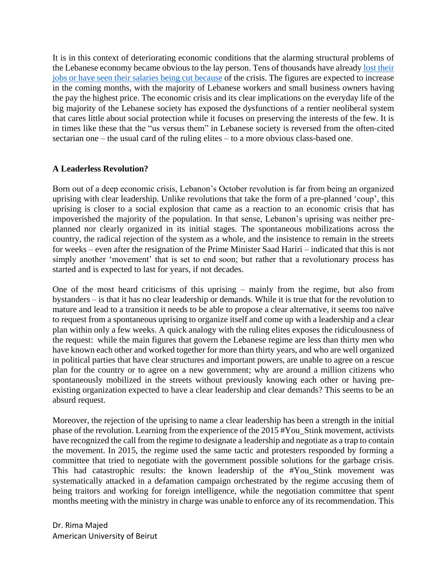It is in this context of deteriorating economic conditions that the alarming structural problems of the Lebanese economy became obvious to the lay person. Tens of thousands have already [lost their](https://www.dailystar.com.lb/Business/Local/2019/Nov-29/496470-job-losses-and-pay-cuts-as-lebanons-economy-crumbles.ashx)  [jobs or have seen their salaries being cut](https://www.dailystar.com.lb/Business/Local/2019/Nov-29/496470-job-losses-and-pay-cuts-as-lebanons-economy-crumbles.ashx) because of the crisis. The figures are expected to increase in the coming months, with the majority of Lebanese workers and small business owners having the pay the highest price. The economic crisis and its clear implications on the everyday life of the big majority of the Lebanese society has exposed the dysfunctions of a rentier neoliberal system that cares little about social protection while it focuses on preserving the interests of the few. It is in times like these that the "us versus them" in Lebanese society is reversed from the often-cited sectarian one – the usual card of the ruling elites – to a more obvious class-based one.

## **A Leaderless Revolution?**

Born out of a deep economic crisis, Lebanon's October revolution is far from being an organized uprising with clear leadership. Unlike revolutions that take the form of a pre-planned 'coup', this uprising is closer to a social explosion that came as a reaction to an economic crisis that has impoverished the majority of the population. In that sense, Lebanon's uprising was neither preplanned nor clearly organized in its initial stages. The spontaneous mobilizations across the country, the radical rejection of the system as a whole, and the insistence to remain in the streets for weeks – even after the resignation of the Prime Minister Saad Hariri – indicated that this is not simply another 'movement' that is set to end soon; but rather that a revolutionary process has started and is expected to last for years, if not decades.

One of the most heard criticisms of this uprising – mainly from the regime, but also from bystanders – is that it has no clear leadership or demands. While it is true that for the revolution to mature and lead to a transition it needs to be able to propose a clear alternative, it seems too naïve to request from a spontaneous uprising to organize itself and come up with a leadership and a clear plan within only a few weeks. A quick analogy with the ruling elites exposes the ridiculousness of the request: while the main figures that govern the Lebanese regime are less than thirty men who have known each other and worked together for more than thirty years, and who are well organized in political parties that have clear structures and important powers, are unable to agree on a rescue plan for the country or to agree on a new government; why are around a million citizens who spontaneously mobilized in the streets without previously knowing each other or having preexisting organization expected to have a clear leadership and clear demands? This seems to be an absurd request.

Moreover, the rejection of the uprising to name a clear leadership has been a strength in the initial phase of the revolution. Learning from the experience of the 2015 #You\_Stink movement, activists have recognized the call from the regime to designate a leadership and negotiate as a trap to contain the movement. In 2015, the regime used the same tactic and protesters responded by forming a committee that tried to negotiate with the government possible solutions for the garbage crisis. This had catastrophic results: the known leadership of the #You\_Stink movement was systematically attacked in a defamation campaign orchestrated by the regime accusing them of being traitors and working for foreign intelligence, while the negotiation committee that spent months meeting with the ministry in charge was unable to enforce any of its recommendation. This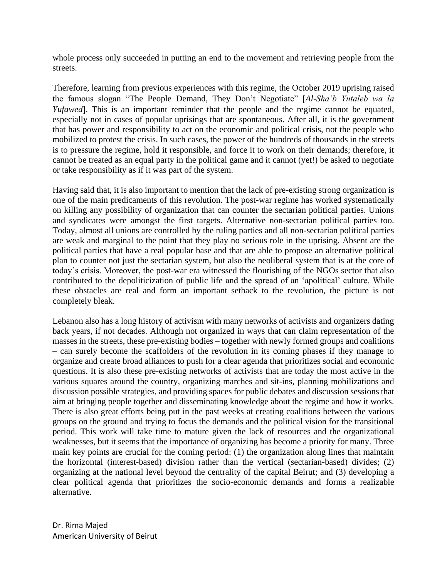whole process only succeeded in putting an end to the movement and retrieving people from the streets.

Therefore, learning from previous experiences with this regime, the October 2019 uprising raised the famous slogan "The People Demand, They Don't Negotiate" *Al-Sha'b Yutaleb wa la Yufawed*. This is an important reminder that the people and the regime cannot be equated, especially not in cases of popular uprisings that are spontaneous. After all, it is the government that has power and responsibility to act on the economic and political crisis, not the people who mobilized to protest the crisis. In such cases, the power of the hundreds of thousands in the streets is to pressure the regime, hold it responsible, and force it to work on their demands; therefore, it cannot be treated as an equal party in the political game and it cannot (yet!) be asked to negotiate or take responsibility as if it was part of the system.

Having said that, it is also important to mention that the lack of pre-existing strong organization is one of the main predicaments of this revolution. The post-war regime has worked systematically on killing any possibility of organization that can counter the sectarian political parties. Unions and syndicates were amongst the first targets. Alternative non-sectarian political parties too. Today, almost all unions are controlled by the ruling parties and all non-sectarian political parties are weak and marginal to the point that they play no serious role in the uprising. Absent are the political parties that have a real popular base and that are able to propose an alternative political plan to counter not just the sectarian system, but also the neoliberal system that is at the core of today's crisis. Moreover, the post-war era witnessed the flourishing of the NGOs sector that also contributed to the depoliticization of public life and the spread of an 'apolitical' culture. While these obstacles are real and form an important setback to the revolution, the picture is not completely bleak.

Lebanon also has a long history of activism with many networks of activists and organizers dating back years, if not decades. Although not organized in ways that can claim representation of the masses in the streets, these pre-existing bodies – together with newly formed groups and coalitions – can surely become the scaffolders of the revolution in its coming phases if they manage to organize and create broad alliances to push for a clear agenda that prioritizes social and economic questions. It is also these pre-existing networks of activists that are today the most active in the various squares around the country, organizing marches and sit-ins, planning mobilizations and discussion possible strategies, and providing spaces for public debates and discussion sessions that aim at bringing people together and disseminating knowledge about the regime and how it works. There is also great efforts being put in the past weeks at creating coalitions between the various groups on the ground and trying to focus the demands and the political vision for the transitional period. This work will take time to mature given the lack of resources and the organizational weaknesses, but it seems that the importance of organizing has become a priority for many. Three main key points are crucial for the coming period: (1) the organization along lines that maintain the horizontal (interest-based) division rather than the vertical (sectarian-based) divides; (2) organizing at the national level beyond the centrality of the capital Beirut; and (3) developing a clear political agenda that prioritizes the socio-economic demands and forms a realizable alternative.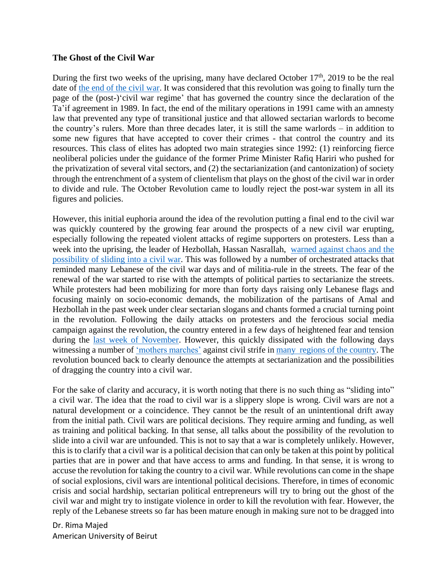## **The Ghost of the Civil War**

During the first two weeks of the uprising, many have declared October  $17<sup>th</sup>$ , 2019 to be the real date of [the end of the civil war.](https://www.opendemocracy.net/en/north-africa-west-asia/lebanons-october-revolution-end-civil-war/) It was considered that this revolution was going to finally turn the page of the (post-)'civil war regime' that has governed the country since the declaration of the Ta'if agreement in 1989. In fact, the end of the military operations in 1991 came with an amnesty law that prevented any type of transitional justice and that allowed sectarian warlords to become the country's rulers. More than three decades later, it is still the same warlords – in addition to some new figures that have accepted to cover their crimes - that control the country and its resources. This class of elites has adopted two main strategies since 1992: (1) reinforcing fierce neoliberal policies under the guidance of the former Prime Minister Rafiq Hariri who pushed for the privatization of several vital sectors, and (2) the sectarianization (and cantonization) of society through the entrenchment of a system of clientelism that plays on the ghost of the civil war in order to divide and rule. The October Revolution came to loudly reject the post-war system in all its figures and policies.

However, this initial euphoria around the idea of the revolution putting a final end to the civil war was quickly countered by the growing fear around the prospects of a new civil war erupting, especially following the repeated violent attacks of regime supporters on protesters. Less than a week into the uprising, the leader of Hezbollah, Hassan Nasrallah, [warned against chaos and the](https://www.reuters.com/article/us-lebanon-protests-scuffles/hezbollah-warns-of-chaos-civil-war-in-lebanon-idUSKBN1X41IV)  [possibility of sliding into a civil war.](https://www.reuters.com/article/us-lebanon-protests-scuffles/hezbollah-warns-of-chaos-civil-war-in-lebanon-idUSKBN1X41IV) This was followed by a number of orchestrated attacks that reminded many Lebanese of the civil war days and of militia-rule in the streets. The fear of the renewal of the war started to rise with the attempts of political parties to sectarianize the streets. While protesters had been mobilizing for more than forty days raising only Lebanese flags and focusing mainly on socio-economic demands, the mobilization of the partisans of Amal and Hezbollah in the past week under clear sectarian slogans and chants formed a crucial turning point in the revolution. Following the daily attacks on protesters and the ferocious social media campaign against the revolution, the country entered in a few days of heightened fear and tension during the [last week of November.](https://www.aljazeera.com/news/2019/11/lebanon-protesters-cautious-clashes-sectarian-groups-191127143058987.html) However, this quickly dissipated with the following days witnessing a number of ['mothers marches'](https://www.middleeasteye.net/news/beirut-women-lead-show-unity-after-night-tensions) against civil strife in [many regions of the country.](https://www.dailystar.com.lb/News/Lebanon-News/2019/Nov-27/496366-mothers-lead-anti-sectarian-marches-in-beirut-tripoli.ashx) The revolution bounced back to clearly denounce the attempts at sectarianization and the possibilities of dragging the country into a civil war.

For the sake of clarity and accuracy, it is worth noting that there is no such thing as "sliding into" a civil war. The idea that the road to civil war is a slippery slope is wrong. Civil wars are not a natural development or a coincidence. They cannot be the result of an unintentional drift away from the initial path. Civil wars are political decisions. They require arming and funding, as well as training and political backing. In that sense, all talks about the possibility of the revolution to slide into a civil war are unfounded. This is not to say that a war is completely unlikely. However, this is to clarify that a civil war is a political decision that can only be taken at this point by political parties that are in power and that have access to arms and funding. In that sense, it is wrong to accuse the revolution for taking the country to a civil war. While revolutions can come in the shape of social explosions, civil wars are intentional political decisions. Therefore, in times of economic crisis and social hardship, sectarian political entrepreneurs will try to bring out the ghost of the civil war and might try to instigate violence in order to kill the revolution with fear. However, the reply of the Lebanese streets so far has been mature enough in making sure not to be dragged into